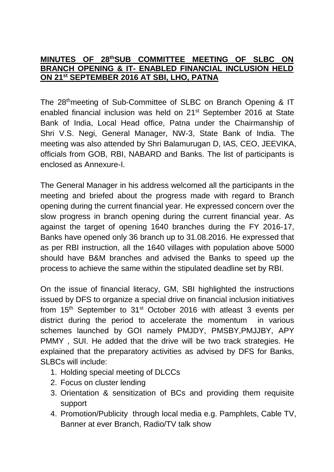## **MINUTES OF 28 thSUB COMMITTEE MEETING OF SLBC ON BRANCH OPENING & IT- ENABLED FINANCIAL INCLUSION HELD ON 21st SEPTEMBER 2016 AT SBI, LHO, PATNA**

The 28<sup>th</sup>meeting of Sub-Committee of SLBC on Branch Opening & IT enabled financial inclusion was held on 21<sup>st</sup> September 2016 at State Bank of India, Local Head office, Patna under the Chairmanship of Shri V.S. Negi, General Manager, NW-3, State Bank of India. The meeting was also attended by Shri Balamurugan D, IAS, CEO, JEEVIKA, officials from GOB, RBI, NABARD and Banks. The list of participants is enclosed as Annexure-I.

The General Manager in his address welcomed all the participants in the meeting and briefed about the progress made with regard to Branch opening during the current financial year. He expressed concern over the slow progress in branch opening during the current financial year. As against the target of opening 1640 branches during the FY 2016-17, Banks have opened only 36 branch up to 31.08.2016. He expressed that as per RBI instruction, all the 1640 villages with population above 5000 should have B&M branches and advised the Banks to speed up the process to achieve the same within the stipulated deadline set by RBI.

On the issue of financial literacy, GM, SBI highlighted the instructions issued by DFS to organize a special drive on financial inclusion initiatives from 15<sup>th</sup> September to 31<sup>st</sup> October 2016 with atleast 3 events per district during the period to accelerate the momentum in various schemes launched by GOI namely PMJDY, PMSBY,PMJJBY, APY PMMY , SUI. He added that the drive will be two track strategies. He explained that the preparatory activities as advised by DFS for Banks, SLBCs will include:

- 1. Holding special meeting of DLCCs
- 2. Focus on cluster lending
- 3. Orientation & sensitization of BCs and providing them requisite support
- 4. Promotion/Publicity through local media e.g. Pamphlets, Cable TV, Banner at ever Branch, Radio/TV talk show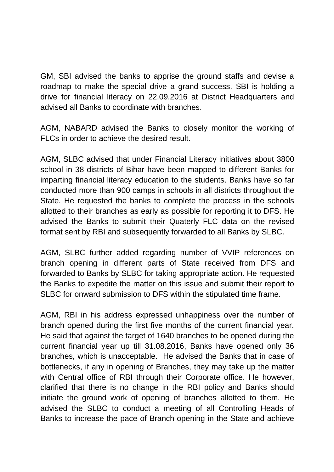GM, SBI advised the banks to apprise the ground staffs and devise a roadmap to make the special drive a grand success. SBI is holding a drive for financial literacy on 22.09.2016 at District Headquarters and advised all Banks to coordinate with branches.

AGM, NABARD advised the Banks to closely monitor the working of FLCs in order to achieve the desired result.

AGM, SLBC advised that under Financial Literacy initiatives about 3800 school in 38 districts of Bihar have been mapped to different Banks for imparting financial literacy education to the students. Banks have so far conducted more than 900 camps in schools in all districts throughout the State. He requested the banks to complete the process in the schools allotted to their branches as early as possible for reporting it to DFS. He advised the Banks to submit their Quaterly FLC data on the revised format sent by RBI and subsequently forwarded to all Banks by SLBC.

AGM, SLBC further added regarding number of VVIP references on branch opening in different parts of State received from DFS and forwarded to Banks by SLBC for taking appropriate action. He requested the Banks to expedite the matter on this issue and submit their report to SLBC for onward submission to DFS within the stipulated time frame.

AGM, RBI in his address expressed unhappiness over the number of branch opened during the first five months of the current financial year. He said that against the target of 1640 branches to be opened during the current financial year up till 31.08.2016, Banks have opened only 36 branches, which is unacceptable. He advised the Banks that in case of bottlenecks, if any in opening of Branches, they may take up the matter with Central office of RBI through their Corporate office. He however, clarified that there is no change in the RBI policy and Banks should initiate the ground work of opening of branches allotted to them. He advised the SLBC to conduct a meeting of all Controlling Heads of Banks to increase the pace of Branch opening in the State and achieve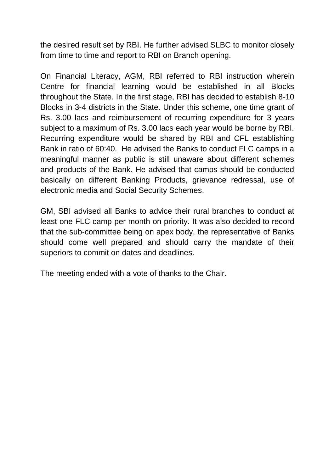the desired result set by RBI. He further advised SLBC to monitor closely from time to time and report to RBI on Branch opening.

On Financial Literacy, AGM, RBI referred to RBI instruction wherein Centre for financial learning would be established in all Blocks throughout the State. In the first stage, RBI has decided to establish 8-10 Blocks in 3-4 districts in the State. Under this scheme, one time grant of Rs. 3.00 lacs and reimbursement of recurring expenditure for 3 years subject to a maximum of Rs. 3.00 lacs each year would be borne by RBI. Recurring expenditure would be shared by RBI and CFL establishing Bank in ratio of 60:40. He advised the Banks to conduct FLC camps in a meaningful manner as public is still unaware about different schemes and products of the Bank. He advised that camps should be conducted basically on different Banking Products, grievance redressal, use of electronic media and Social Security Schemes.

GM, SBI advised all Banks to advice their rural branches to conduct at least one FLC camp per month on priority. It was also decided to record that the sub-committee being on apex body, the representative of Banks should come well prepared and should carry the mandate of their superiors to commit on dates and deadlines.

The meeting ended with a vote of thanks to the Chair.